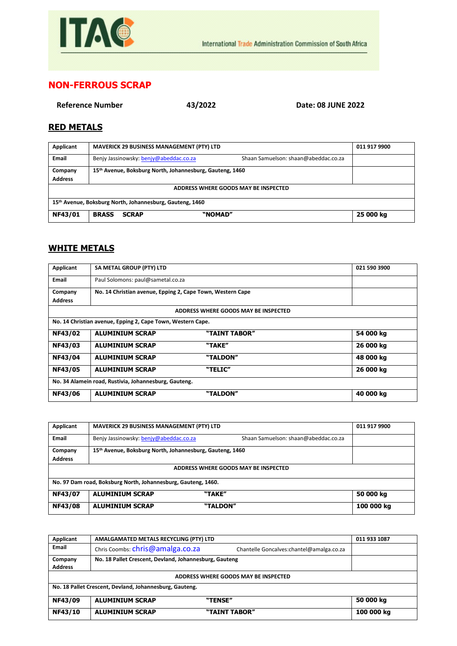

## **NON-FERROUS SCRAP**

**Reference Number 43/2022 Date: 08 JUNE 2022**

## **RED METALS**

| Applicant                                                | <b>MAVERICK 29 BUSINESS MANAGEMENT (PTY) LTD</b>                               | 011 917 9900 |  |
|----------------------------------------------------------|--------------------------------------------------------------------------------|--------------|--|
| <b>Email</b>                                             | Benjy Jassinowsky: benjy@abeddac.co.za<br>Shaan Samuelson: shaan@abeddac.co.za |              |  |
| Company                                                  | 15 <sup>th</sup> Avenue, Boksburg North, Johannesburg, Gauteng, 1460           |              |  |
| <b>Address</b>                                           |                                                                                |              |  |
| ADDRESS WHERE GOODS MAY BE INSPECTED                     |                                                                                |              |  |
| 15th Avenue, Boksburg North, Johannesburg, Gauteng, 1460 |                                                                                |              |  |
| NF43/01                                                  | "NOMAD"<br><b>BRASS</b><br><b>SCRAP</b>                                        | 25 000 kg    |  |

## **WHITE METALS**

| Applicant                                             | SA METAL GROUP (PTY) LTD                                    |                                      | 021 590 3900 |
|-------------------------------------------------------|-------------------------------------------------------------|--------------------------------------|--------------|
| Email                                                 | Paul Solomons: paul@sametal.co.za                           |                                      |              |
| Company                                               | No. 14 Christian avenue, Epping 2, Cape Town, Western Cape  |                                      |              |
| <b>Address</b>                                        |                                                             |                                      |              |
|                                                       |                                                             | ADDRESS WHERE GOODS MAY BE INSPECTED |              |
|                                                       | No. 14 Christian avenue, Epping 2, Cape Town, Western Cape. |                                      |              |
| NF43/02                                               | <b>ALUMINIUM SCRAP</b>                                      | "TAINT TABOR"                        | 54 000 kg    |
| <b>NF43/03</b>                                        | <b>ALUMINIUM SCRAP</b>                                      | "TAKE"                               | 26 000 kg    |
| NF43/04                                               | <b>ALUMINIUM SCRAP</b>                                      | "TALDON"                             | 48 000 kg    |
| <b>NF43/05</b>                                        | <b>ALUMINIUM SCRAP</b>                                      | "TELIC"                              | 26 000 kg    |
| No. 34 Alamein road, Rustivia, Johannesburg, Gauteng. |                                                             |                                      |              |
| NF43/06                                               | <b>ALUMINIUM SCRAP</b>                                      | "TALDON"                             | 40 000 kg    |

| Applicant                                                     | <b>MAVERICK 29 BUSINESS MANAGEMENT (PTY) LTD</b>                               | 011 917 9900 |  |
|---------------------------------------------------------------|--------------------------------------------------------------------------------|--------------|--|
| Email                                                         | Benjy Jassinowsky: benjy@abeddac.co.za<br>Shaan Samuelson: shaan@abeddac.co.za |              |  |
| Company                                                       | 15th Avenue, Boksburg North, Johannesburg, Gauteng, 1460                       |              |  |
| <b>Address</b>                                                |                                                                                |              |  |
| ADDRESS WHERE GOODS MAY BE INSPECTED                          |                                                                                |              |  |
| No. 97 Dam road, Boksburg North, Johannesburg, Gauteng, 1460. |                                                                                |              |  |
| NF43/07                                                       | <b>ALUMINIUM SCRAP</b><br>"TAKE"                                               | 50 000 kg    |  |
| <b>NF43/08</b>                                                | <b>ALUMINIUM SCRAP</b><br>"TALDON"                                             | 100 000 kg   |  |

| Applicant                                               | AMALGAMATED METALS RECYCLING (PTY) LTD                 |                                           | 011 933 1087 |  |
|---------------------------------------------------------|--------------------------------------------------------|-------------------------------------------|--------------|--|
| <b>Email</b>                                            | Chris Coombs: chris@amalga.co.za                       | Chantelle Goncalves: chantel@amalga.co.za |              |  |
| Company                                                 | No. 18 Pallet Crescent, Devland, Johannesburg, Gauteng |                                           |              |  |
| <b>Address</b>                                          |                                                        |                                           |              |  |
| ADDRESS WHERE GOODS MAY BE INSPECTED                    |                                                        |                                           |              |  |
| No. 18 Pallet Crescent, Devland, Johannesburg, Gauteng. |                                                        |                                           |              |  |
| NF43/09                                                 | <b>ALUMINIUM SCRAP</b>                                 | "TENSE"                                   | 50 000 kg    |  |
| NF43/10                                                 | <b>ALUMINIUM SCRAP</b>                                 | "TAINT TABOR"                             | 100 000 kg   |  |